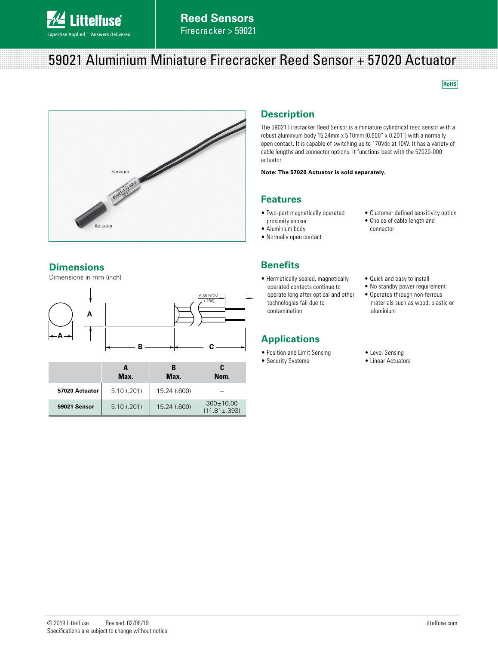

## 59021 Aluminium Miniature Firecracker Reed Sensor + 57020 Actuator

**RoHS** 



#### **Dimensions**

Dimensions in mm (inch)



|                | Max.       | в<br>Max.    | C<br>Nom.                             |
|----------------|------------|--------------|---------------------------------------|
| 57020 Actuator | 5.10(.201) | 15.24 (.600) |                                       |
| 59021 Sensor   | 5.10(.201) | 15.24 (.600) | $300 \pm 10.00$<br>$(11.81 \pm .393)$ |

## **Description**

The 59021 Firecracker Reed Sensor is a miniature cylindrical reed sensor with a robust aluminium body 15.24mm x 5.10mm (0.600" x 0.201") with a normally open contact. It is capable of switching up to 170Vdc at 10W. It has a variety of cable lengths and connector options. It functions best with the 57020-000 actuator.

#### **Note: The 57020 Actuator is sold separately.**

#### **Features**

- Two-part magnetically operated proximity sensor
- Aluminium body
- Normally open contact
- Customer defined sensitivity option
- Choice of cable length and connector
- **Benefits**
- Hermetically sealed, magnetically operated contacts continue to operate long after optical and other technologies fail due to contamination

### **Applications**

- Position and Limit Sensing
- Security Systems
- Quick and easy to install
- No standby power requirement • Operates through non-ferrous
- materials such as wood, plastic or aluminium
- Level Sensing
- Linear Actuators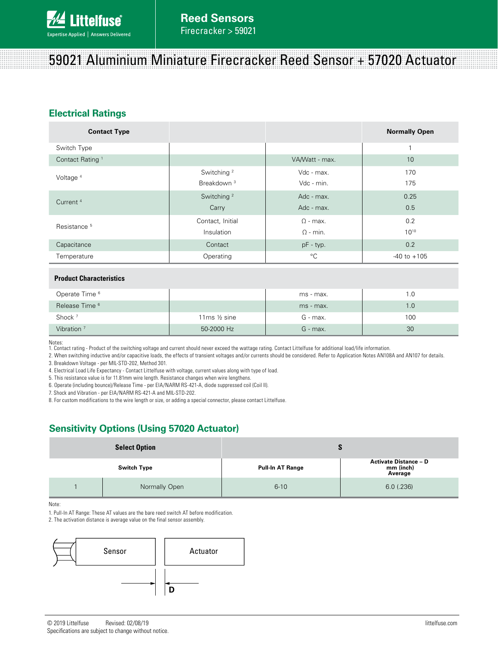# 59021 Aluminium Miniature Firecracker Reed Sensor + 57020 Actuator

### **Electrical Ratings**

| <b>Contact Type</b>         |                        |                 | <b>Normally Open</b> |
|-----------------------------|------------------------|-----------------|----------------------|
| Switch Type                 |                        |                 | 1                    |
| Contact Rating <sup>1</sup> |                        | VA/Watt - max.  | 10                   |
| Voltage <sup>4</sup>        | Switching <sup>2</sup> | Vdc - max.      | 170                  |
|                             | Breakdown <sup>3</sup> | Vdc - min.      | 175                  |
| Current <sup>4</sup>        | Switching <sup>2</sup> | Adc - max.      | 0.25                 |
|                             | Carry                  | Adc - max.      | 0.5                  |
| Resistance <sup>5</sup>     | Contact, Initial       | $\Omega$ - max. | 0.2                  |
|                             | Insulation             | $\Omega$ - min. | $10^{10}$            |
| Capacitance                 | Contact                | pF - typ.       | 0.2                  |
| Operating<br>Temperature    |                        | °C              | $-40$ to $+105$      |

#### **Product Characteristics**

| Operate Time <sup>6</sup> |                          | ms - max.  | 1.0 |
|---------------------------|--------------------------|------------|-----|
| Release Time <sup>6</sup> |                          | ms - max.  | 1.0 |
| Shock <sup>7</sup>        | 11 $ms \frac{1}{2} sine$ | G - max.   | 100 |
| Vibration <sup>7</sup>    | 50-2000 Hz               | $G$ - max. | 30  |

Notes:

1. Contact rating - Product of the switching voltage and current should never exceed the wattage rating. Contact Littelfuse for additional load/life information.

2. When switching inductive and/or capacitive loads, the effects of transient voltages and/or currents should be considered. Refer to Application Notes AN108A and AN107 for details. 3. Breakdown Voltage - per MIL-STD-202, Method 301.

4. Electrical Load Life Expectancy - Contact Littelfuse with voltage, current values along with type of load.

5. This resistance value is for 11.81mm wire length. Resistance changes when wire lengthens.

6. Operate (including bounce)/Release Time - per EIA/NARM RS-421-A, diode suppressed coil (Coil II).

7. Shock and Vibration - per EIA/NARM RS-421-A and MIL-STD-202.

8. For custom modifications to the wire length or size, or adding a special connector, please contact Littelfuse.

### **Sensitivity Options (Using 57020 Actuator)**

| <b>Select Option</b> |               |                         |                                                      |  |
|----------------------|---------------|-------------------------|------------------------------------------------------|--|
| <b>Switch Type</b>   |               | <b>Pull-In AT Range</b> | <b>Activate Distance - D</b><br>mm (inch)<br>Average |  |
|                      | Normally Open | $6 - 10$                | $6.0$ (.236)                                         |  |

Note:

1. Pull-In AT Range: These AT values are the bare reed switch AT before modification.

2. The activation distance is average value on the final sensor assembly.